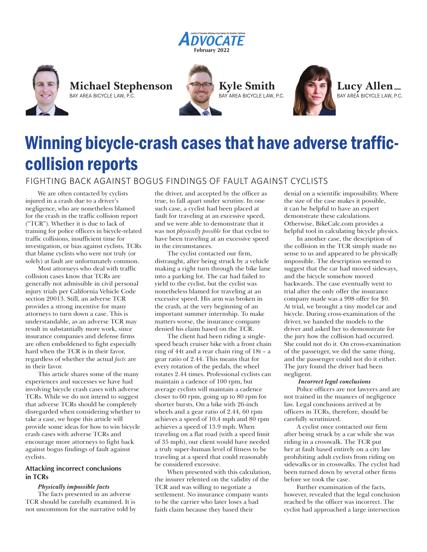









# Winning bicycle-crash cases that have adverse trafficcollision reports

## FIGHTING BACK AGAINST BOGUS FINDINGS OF FAULT AGAINST CYCLISTS

We are often contacted by cyclists injured in a crash due to a driver's negligence, who are nonetheless blamed for the crash in the traffic collision report ("TCR"). Whether it is due to lack of training for police officers in bicycle-related traffic collisions, insufficient time for investigation, or bias against cyclists, TCRs that blame cyclists who were not truly (or solely) at fault are unfortunately common.

Most attorneys who deal with traffic collision cases know that TCRs are generally not admissible in civil personal injury trials per California Vehicle Code section 20013. Still, an adverse TCR provides a strong incentive for many attorneys to turn down a case. This is understandable, as an adverse TCR may result in substantially more work, since insurance companies and defense firms are often emboldened to fight especially hard when the TCR is in their favor, regardless of whether the actual *facts* are in their favor.

This article shares some of the many experiences and successes we have had involving bicycle crash cases with adverse TCRs. While we do not intend to suggest that adverse TCRs should be completely disregarded when considering whether to take a case, we hope this article will provide some ideas for how to win bicycle crash cases with adverse TCRs and encourage more attorneys to fight back against bogus findings of fault against cyclists.

## **Attacking incorrect conclusions in TCRs**

## *Physically impossible facts*

The facts presented in an adverse TCR should be carefully examined. It is not uncommon for the narrative told by

the driver, and accepted by the officer as true, to fall apart under scrutiny. In one such case, a cyclist had been placed at fault for traveling at an excessive speed, and we were able to demonstrate that it was not *physically possible* for that cyclist to have been traveling at an excessive speed in the circumstances.

The cyclist contacted our firm, distraught, after being struck by a vehicle making a right turn through the bike lane into a parking lot. The car had failed to yield to the cyclist, but the cyclist was nonetheless blamed for traveling at an excessive speed. His arm was broken in the crash, at the very beginning of an important summer internship. To make matters worse, the insurance company denied his claim based on the TCR.

The client had been riding a singlespeed beach cruiser bike with a front chain ring of 44t and a rear chain ring of 18t – a gear ratio of 2.44. This means that for every rotation of the pedals, the wheel rotates 2.44 times. Professional cyclists can maintain a cadence of 100 rpm, but average cyclists will maintain a cadence closer to 60 rpm, going up to 80 rpm for shorter bursts. On a bike with 26-inch wheels and a gear ratio of 2.44, 60 rpm achieves a speed of 10.4 mph and 80 rpm achieves a speed of 13.9 mph. When traveling on a flat road (with a speed limit of 35 mph), our client would have needed a truly super-human level of fitness to be traveling at a speed that could reasonably be considered excessive.

When presented with this calculation, the insurer relented on the validity of the TCR and was willing to negotiate a settlement. No insurance company wants to be the carrier who later loses a bad faith claim because they based their

denial on a scientific impossibility. Where the size of the case makes it possible, it can be helpful to have an expert demonstrate these calculations. Otherwise, BikeCalc.com provides a helpful tool in calculating bicycle physics.

In another case, the description of the collision in the TCR simply made no sense to us and appeared to be physically impossible. The description seemed to suggest that the car had moved sideways, and the bicycle somehow moved backwards. The case eventually went to trial after the only offer the insurance company made was a 998 offer for \$0. At trial, we brought a tiny model car and bicycle. During cross-examination of the driver, we handed the models to the driver and asked her to demonstrate for the jury how the collision had occurred. She could not do it. On cross-examination of the passenger, we did the same thing, and the passenger could not do it either. The jury found the driver had been negligent.

## *Incorrect legal conclusions*

Police officers are not lawyers and are not trained in the nuances of negligence law. Legal conclusions arrived at by officers in TCRs, therefore, should be carefully scrutinized.

A cyclist once contacted our firm after being struck by a car while she was riding in a crosswalk. The TCR put her at fault based entirely on a city law prohibiting adult cyclists from riding on sidewalks or in crosswalks. The cyclist had been turned down by several other firms before we took the case.

Further examination of the facts, however, revealed that the legal conclusion reached by the officer was incorrect. The cyclist had approached a large intersection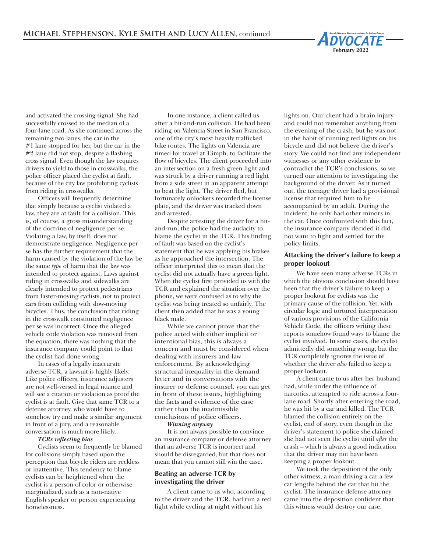and activated the crossing signal. She had successfully crossed to the median of a four-lane road. As she continued across the remaining two lanes, the car in the #1 lane stopped for her, but the car in the #2 lane did not stop, despite a flashing cross signal. Even though the law requires drivers to yield to those in crosswalks, the police officer placed the cyclist at fault, because of the city law prohibiting cyclists from riding in crosswalks.

Officers will frequently determine that simply because a cyclist violated a law, they are at fault for a collision. This is, of course, a gross misunderstanding of the doctrine of negligence per se. Violating a law, by itself, does not demonstrate negligence. Negligence per se has the further requirement that the harm caused by the violation of the law be the same *type* of harm that the law was intended to protect against. Laws against riding in crosswalks and sidewalks are clearly intended to protect pedestrians from faster-moving cyclists, not to protect cars from colliding with slow-moving bicycles. Thus, the conclusion that riding in the crosswalk constituted negligence per se was incorrect. Once the alleged vehicle code violation was removed from the equation, there was nothing that the insurance company could point to that the cyclist had done wrong.

In cases of a legally inaccurate adverse TCR, a lawsuit is highly likely. Like police officers, insurance adjusters are not well-versed in legal nuance and will see a citation or violation as proof the cyclist is at fault. Give that same TCR to a defense attorney, who would have to somehow try and make a similar argument in front of a jury, and a reasonable conversation is much more likely.

#### *TCRs reflecting bias*

Cyclists seem to frequently be blamed for collisions simply based upon the perception that bicycle riders are reckless or inattentive. This tendency to blame cyclists can be heightened when the cyclist is a person of color or otherwise marginalized, such as a non-native English speaker or person experiencing homelessness.

In one instance, a client called us after a hit-and-run collision. He had been riding on Valencia Street in San Francisco, one of the city's most heavily trafficked bike routes. The lights on Valencia are timed for travel at 13mph, to facilitate the flow of bicycles. The client proceeded into an intersection on a fresh green light and was struck by a driver running a red light from a side street in an apparent attempt to beat the light. The driver fled, but fortunately onlookers recorded the license plate, and the driver was tracked down and arrested.

Despite arresting the driver for a hitand-run, the police had the audacity to blame the cyclist in the TCR. This finding of fault was based on the cyclist's statement that he was applying his brakes as he approached the intersection. The officer interpreted this to mean that the cyclist did not actually have a green light. When the cyclist first provided us with the TCR and explained the situation over the phone, we were confused as to why the cyclist was being treated so unfairly. The client then added that he was a young black male.

While we cannot prove that the police acted with either implicit or intentional bias, this is always a concern and must be considered when dealing with insurers and law enforcement. By acknowledging structural inequality in the demand letter and in conversations with the insurer or defense counsel, you can get in front of these issues, highlighting the facts and evidence of the case rather than the inadmissible conclusions of police officers.

#### *Winning anyway*

It is not always possible to convince an insurance company or defense attorney that an adverse TCR is incorrect and should be disregarded, but that does not mean that you cannot still win the case.

## **Beating an adverse TCR by investigating the driver**

A client came to us who, according to the driver and the TCR, had run a red light while cycling at night without his

lights on. Our client had a brain injury and could not remember anything from the evening of the crash, but he was not in the habit of running red lights on his bicycle and did not believe the driver's story. We could not find any independent witnesses or any other evidence to contradict the TCR's conclusions, so we turned our attention to investigating the background of the driver. As it turned out, the teenage driver had a provisional license that required him to be accompanied by an adult. During the incident, he only had other minors in the car. Once confronted with this fact, the insurance company decided it did not want to fight and settled for the policy limits.

## **Attacking the driver's failure to keep a proper lookout**

We have seen many adverse TCRs in which the obvious conclusion should have been that the driver's failure to keep a proper lookout for cyclists was the primary cause of the collision. Yet, with circular logic and tortured interpretation of various provisions of the California Vehicle Code, the officers writing these reports somehow found ways to blame the cyclist involved. In some cases, the cyclist admittedly did something wrong, but the TCR completely ignores the issue of whether the driver *also* failed to keep a proper lookout.

A client came to us after her husband had, while under the influence of narcotics, attempted to ride across a fourlane road. Shortly after entering the road, he was hit by a car and killed. The TCR blamed the collision entirely on the cyclist, end of story, even though in the driver's statement to police she claimed she had not seen the cyclist until *after* the crash – which is always a good indication that the driver may not have been keeping a proper lookout.

We took the deposition of the only other witness, a man driving a car a few car lengths behind the car that hit the cyclist. The insurance defense attorney came into the deposition confident that this witness would destroy our case.